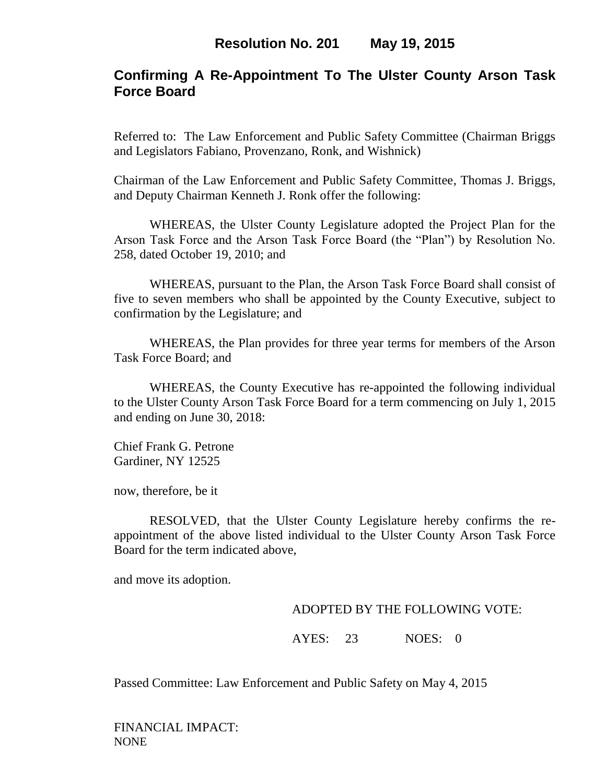# **Confirming A Re-Appointment To The Ulster County Arson Task Force Board**

Referred to: The Law Enforcement and Public Safety Committee (Chairman Briggs and Legislators Fabiano, Provenzano, Ronk, and Wishnick)

Chairman of the Law Enforcement and Public Safety Committee, Thomas J. Briggs, and Deputy Chairman Kenneth J. Ronk offer the following:

WHEREAS, the Ulster County Legislature adopted the Project Plan for the Arson Task Force and the Arson Task Force Board (the "Plan") by Resolution No. 258, dated October 19, 2010; and

WHEREAS, pursuant to the Plan, the Arson Task Force Board shall consist of five to seven members who shall be appointed by the County Executive, subject to confirmation by the Legislature; and

WHEREAS, the Plan provides for three year terms for members of the Arson Task Force Board; and

WHEREAS, the County Executive has re-appointed the following individual to the Ulster County Arson Task Force Board for a term commencing on July 1, 2015 and ending on June 30, 2018:

Chief Frank G. Petrone Gardiner, NY 12525

now, therefore, be it

RESOLVED, that the Ulster County Legislature hereby confirms the reappointment of the above listed individual to the Ulster County Arson Task Force Board for the term indicated above,

and move its adoption.

#### ADOPTED BY THE FOLLOWING VOTE:

AYES: 23 NOES: 0

Passed Committee: Law Enforcement and Public Safety on May 4, 2015